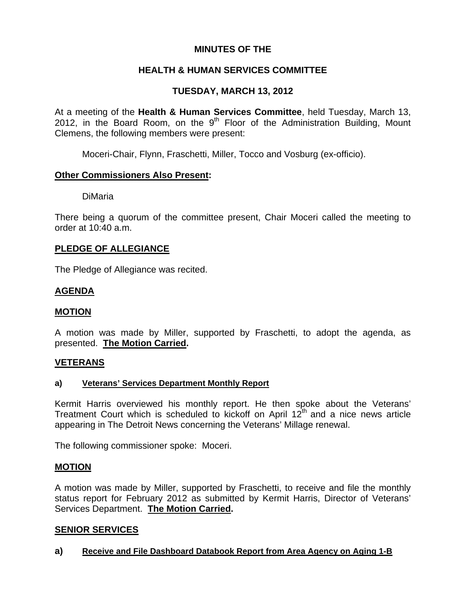## **MINUTES OF THE**

## **HEALTH & HUMAN SERVICES COMMITTEE**

# **TUESDAY, MARCH 13, 2012**

At a meeting of the **Health & Human Services Committee**, held Tuesday, March 13, 2012, in the Board Room, on the  $9<sup>th</sup>$  Floor of the Administration Building, Mount Clemens, the following members were present:

Moceri-Chair, Flynn, Fraschetti, Miller, Tocco and Vosburg (ex-officio).

## **Other Commissioners Also Present:**

DiMaria

There being a quorum of the committee present, Chair Moceri called the meeting to order at 10:40 a.m.

## **PLEDGE OF ALLEGIANCE**

The Pledge of Allegiance was recited.

## **AGENDA**

#### **MOTION**

A motion was made by Miller, supported by Fraschetti, to adopt the agenda, as presented. **The Motion Carried.** 

#### **VETERANS**

#### **a) Veterans' Services Department Monthly Report**

Kermit Harris overviewed his monthly report. He then spoke about the Veterans' Treatment Court which is scheduled to kickoff on April  $12<sup>th</sup>$  and a nice news article appearing in The Detroit News concerning the Veterans' Millage renewal.

The following commissioner spoke: Moceri.

#### **MOTION**

A motion was made by Miller, supported by Fraschetti, to receive and file the monthly status report for February 2012 as submitted by Kermit Harris, Director of Veterans' Services Department. **The Motion Carried.** 

## **SENIOR SERVICES**

## **a) Receive and File Dashboard Databook Report from Area Agency on Aging 1-B**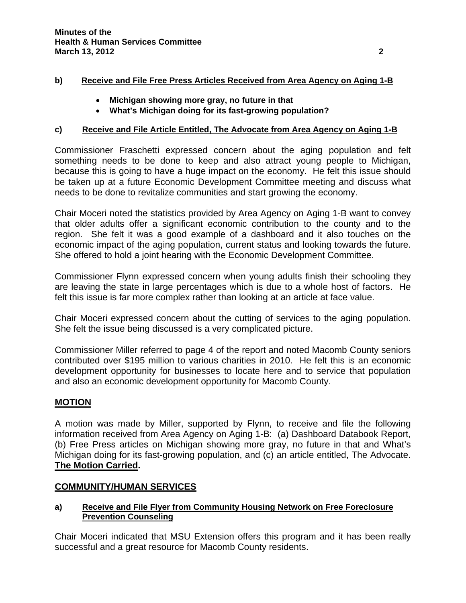### **b) Receive and File Free Press Articles Received from Area Agency on Aging 1-B**

- **Michigan showing more gray, no future in that**
- **What's Michigan doing for its fast-growing population?**

## **c) Receive and File Article Entitled, The Advocate from Area Agency on Aging 1-B**

Commissioner Fraschetti expressed concern about the aging population and felt something needs to be done to keep and also attract young people to Michigan, because this is going to have a huge impact on the economy. He felt this issue should be taken up at a future Economic Development Committee meeting and discuss what needs to be done to revitalize communities and start growing the economy.

Chair Moceri noted the statistics provided by Area Agency on Aging 1-B want to convey that older adults offer a significant economic contribution to the county and to the region. She felt it was a good example of a dashboard and it also touches on the economic impact of the aging population, current status and looking towards the future. She offered to hold a joint hearing with the Economic Development Committee.

Commissioner Flynn expressed concern when young adults finish their schooling they are leaving the state in large percentages which is due to a whole host of factors. He felt this issue is far more complex rather than looking at an article at face value.

Chair Moceri expressed concern about the cutting of services to the aging population. She felt the issue being discussed is a very complicated picture.

Commissioner Miller referred to page 4 of the report and noted Macomb County seniors contributed over \$195 million to various charities in 2010. He felt this is an economic development opportunity for businesses to locate here and to service that population and also an economic development opportunity for Macomb County.

## **MOTION**

A motion was made by Miller, supported by Flynn, to receive and file the following information received from Area Agency on Aging 1-B: (a) Dashboard Databook Report, (b) Free Press articles on Michigan showing more gray, no future in that and What's Michigan doing for its fast-growing population, and (c) an article entitled, The Advocate. **The Motion Carried.**

## **COMMUNITY/HUMAN SERVICES**

## **a) Receive and File Flyer from Community Housing Network on Free Foreclosure Prevention Counseling**

Chair Moceri indicated that MSU Extension offers this program and it has been really successful and a great resource for Macomb County residents.